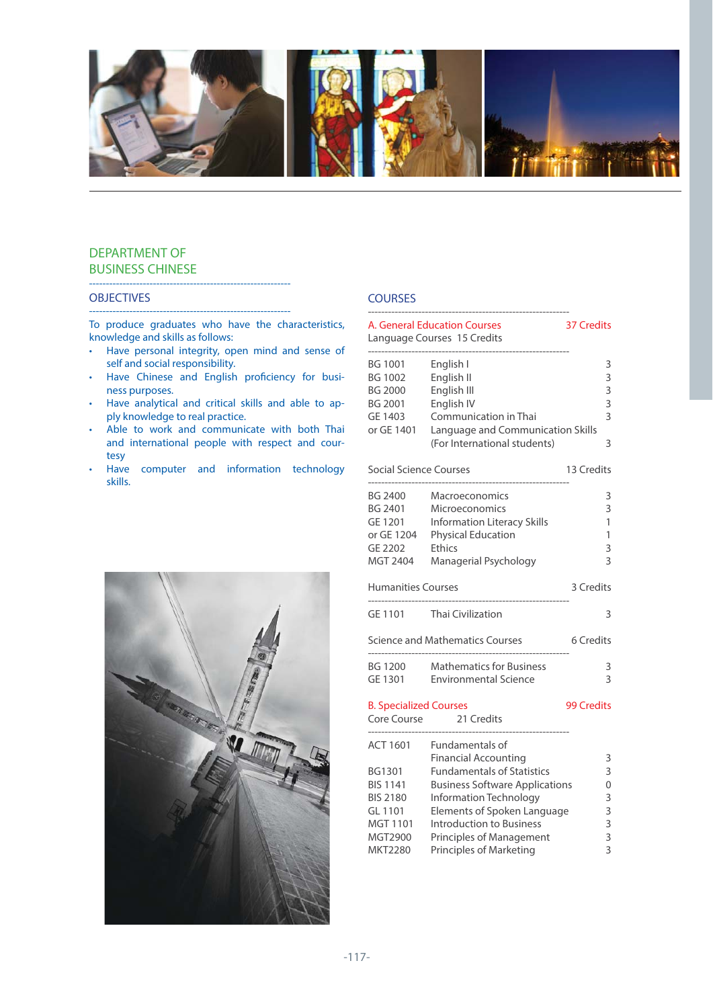

# DEPARTMENT OF BUSINESS CHINESE

### **OBJECTIVES**

------------------------------------------------------------ To produce graduates who have the characteristics, knowledge and skills as follows:

------------------------------------------------------------

- Have personal integrity, open mind and sense of self and social responsibility.
- Have Chinese and English proficiency for business purposes.
- Have analytical and critical skills and able to apply knowledge to real practice.
- Able to work and communicate with both Thai and international people with respect and courtesy
- Have computer and information technology skills.

# **COURSES**

|                                                                           | A. General Education Courses<br>Language Courses 15 Credits                                                                                   | <b>37 Credits</b>                           |
|---------------------------------------------------------------------------|-----------------------------------------------------------------------------------------------------------------------------------------------|---------------------------------------------|
| BG 1001<br><b>BG 1002</b><br><b>BG 2000</b><br><b>BG 2001</b><br>GE 1403  | English I<br>English II<br>English III<br>English IV<br>Communication in Thai                                                                 | 3<br>3<br>3<br>3<br>$\overline{\mathbf{3}}$ |
| or GE 1401                                                                | Language and Communication Skills<br>(For International students)                                                                             | 3                                           |
| <b>Social Science Courses</b>                                             |                                                                                                                                               | 13 Credits                                  |
| <b>BG 2400</b><br>BG 2401<br>GE 1201<br>or GE 1204<br>GE 2202<br>MGT 2404 | Macroeconomics<br>Microeconomics<br><b>Information Literacy Skills</b><br><b>Physical Education</b><br><b>Ethics</b><br>Managerial Psychology | 3<br>3<br>1<br>1<br>3<br>3                  |
| <b>Humanities Courses</b>                                                 |                                                                                                                                               | 3 Credits                                   |
| GE 1101                                                                   | <b>Thai Civilization</b>                                                                                                                      | 3                                           |
|                                                                           | <b>Science and Mathematics Courses</b>                                                                                                        | 6 Credits                                   |
| <b>BG 1200</b><br>GE 1301                                                 | <b>Mathematics for Business</b><br><b>Environmental Science</b>                                                                               | 3<br>3                                      |
| <b>B. Specialized Courses</b><br>Core Course                              | 21 Credits                                                                                                                                    | <b>99 Credits</b>                           |
| <b>ACT 1601</b><br>BG1301<br><b>BIS 1141</b><br><b>BIS 2180</b>           | <b>Fundamentals of</b><br><b>Financial Accounting</b><br><b>Fundamentals of Statistics</b><br><b>Business Software Applications</b>           | 3<br>3<br>0                                 |
| GL 1101<br>MGT 1101<br>MGT2900<br>MKT2280                                 | Information Technology<br>Elements of Spoken Language<br>Introduction to Business<br>Principles of Management<br>Principles of Marketing      | 3<br>3<br>3<br>3<br>3                       |

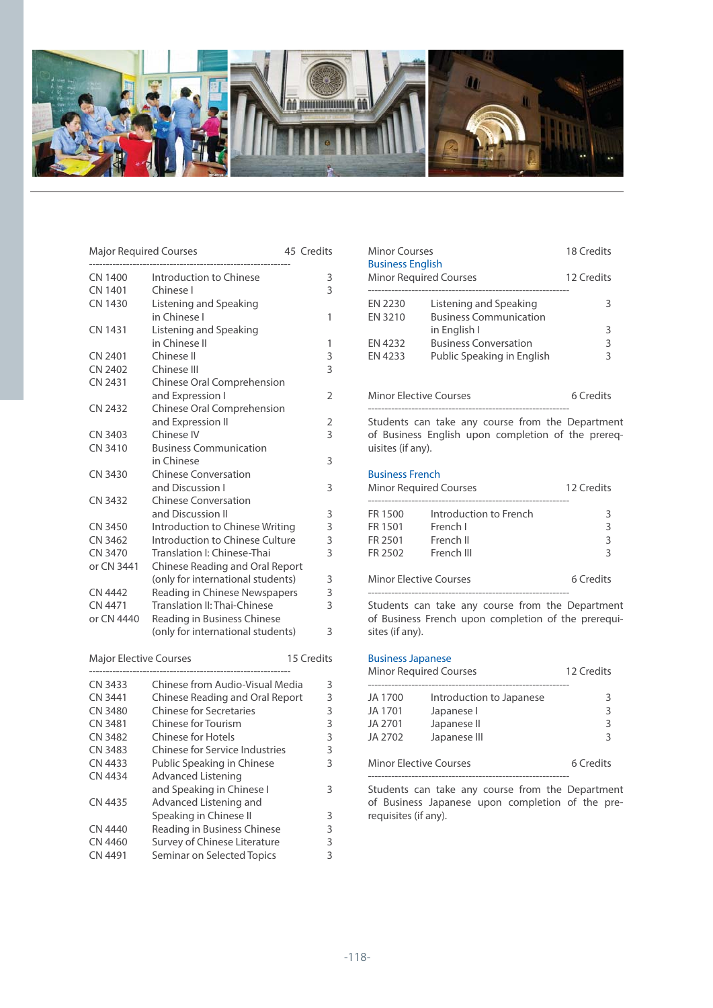

| <b>Major Required Courses</b> |                                   |  | 45 Credits     |
|-------------------------------|-----------------------------------|--|----------------|
| CN 1400                       | Introduction to Chinese           |  | 3              |
| <b>CN 1401</b>                | Chinese I                         |  | 3              |
| <b>CN 1430</b>                | Listening and Speaking            |  |                |
|                               | in Chinese I                      |  | 1              |
| <b>CN 1431</b>                | Listening and Speaking            |  |                |
|                               | in Chinese II                     |  | 1              |
| CN 2401                       | Chinese II                        |  | 3              |
| CN 2402                       | Chinese III                       |  | 3              |
| CN 2431                       | Chinese Oral Comprehension        |  |                |
|                               | and Expression I                  |  | $\overline{2}$ |
| CN 2432                       | Chinese Oral Comprehension        |  |                |
|                               | and Expression II                 |  | 2              |
| CN 3403                       | Chinese IV                        |  | 3              |
| CN 3410                       | <b>Business Communication</b>     |  |                |
|                               | in Chinese                        |  | 3              |
| CN 3430                       | <b>Chinese Conversation</b>       |  |                |
|                               | and Discussion I                  |  | 3              |
| <b>CN 3432</b>                | <b>Chinese Conversation</b>       |  |                |
|                               | and Discussion II                 |  | 3              |
| CN 3450                       | Introduction to Chinese Writing   |  | 3              |
| CN 3462                       | Introduction to Chinese Culture   |  | 3              |
| CN 3470                       | Translation I: Chinese-Thai       |  | $\overline{3}$ |
| or CN 3441                    | Chinese Reading and Oral Report   |  |                |
|                               | (only for international students) |  | 3              |
| <b>CN 4442</b>                | Reading in Chinese Newspapers     |  | 3              |
| CN 4471                       | Translation II: Thai-Chinese      |  | 3              |
| or CN 4440                    | Reading in Business Chinese       |  |                |
|                               | (only for international students) |  | 3              |
| <b>Major Elective Courses</b> |                                   |  | 15 Credits     |
|                               | --------------------------        |  |                |

| CN 3433        | Chinese from Audio-Visual Media | 3 |
|----------------|---------------------------------|---|
| CN 3441        | Chinese Reading and Oral Report | 3 |
| <b>CN 3480</b> | <b>Chinese for Secretaries</b>  | 3 |
| CN 3481        | <b>Chinese for Tourism</b>      | 3 |
| CN 3482        | Chinese for Hotels              | 3 |
| CN 3483        | Chinese for Service Industries  | 3 |
| CN 4433        | Public Speaking in Chinese      | 3 |
| CN 4434        | <b>Advanced Listening</b>       |   |
|                | and Speaking in Chinese I       | 3 |
| CN 4435        | Advanced Listening and          |   |
|                | Speaking in Chinese II          | 3 |
| CN 4440        | Reading in Business Chinese     | 3 |
| CN 4460        | Survey of Chinese Literature    | 3 |
| CN 4491        | Seminar on Selected Topics      | 3 |

| Minor Courses<br><b>Business English</b><br><b>Minor Required Courses</b> |                                                         | 18 Credits<br>12 Credits |
|---------------------------------------------------------------------------|---------------------------------------------------------|--------------------------|
| <b>FN 2230</b><br>EN 3210                                                 | Listening and Speaking<br><b>Business Communication</b> | 3                        |
|                                                                           | in English I                                            | 3                        |
| FN 4232                                                                   | <b>Business Conversation</b>                            | 3                        |
| FN 4233                                                                   | Public Speaking in English                              | ς                        |
|                                                                           |                                                         |                          |

| <b>Minor Elective Courses</b> | 6 Credits |
|-------------------------------|-----------|
|-------------------------------|-----------|

------------------------------------------------------------

Students can take any course from the Department of Business English upon completion of the prerequisites (if any).

### Business French

| <b>Minor Required Courses</b> |                        | 12 Credits |
|-------------------------------|------------------------|------------|
| FR 1500                       | Introduction to French | 3          |
| FR 1501                       | French I               | २          |
| FR 2501                       | French II              | 3          |
| FR 2502                       | French III             | २          |
| <b>Minor Elective Courses</b> |                        | 6 Credits  |

------------------------------------------------------------ Students can take any course from the Department of Business French upon completion of the prerequisites (if any).

#### Business Japanese

| <b>Minor Required Courses</b> |                          | 12 Credits |
|-------------------------------|--------------------------|------------|
| JA 1700                       | Introduction to Japanese | 3          |
| JA 1701                       | Japanese I               | 3          |
| JA 2701                       | Japanese II              | 3          |
| JA 2702                       | Japanese III             | ς          |
| <b>Minor Elective Courses</b> |                          | 6 Credits  |

Students can take any course from the Department of Business Japanese upon completion of the prerequisites (if any).

------------------------------------------------------------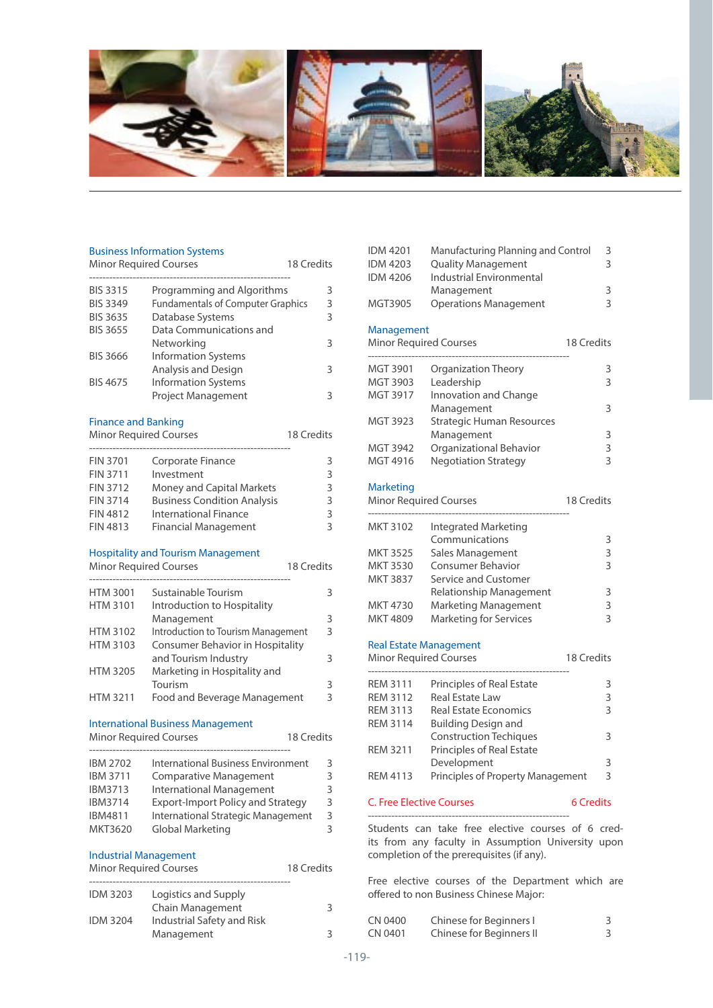

#### Business Information Systems

| <b>Minor Required Courses</b> |                                          | 18 Credits |
|-------------------------------|------------------------------------------|------------|
| <b>BIS 3315</b>               | Programming and Algorithms               | 3          |
| <b>BIS 3349</b>               | <b>Fundamentals of Computer Graphics</b> | 3          |
| <b>BIS 3635</b>               | Database Systems                         | 3          |
| <b>BIS 3655</b>               | Data Communications and                  |            |
|                               | Networking                               | 3          |
| <b>BIS 3666</b>               | <b>Information Systems</b>               |            |
|                               | Analysis and Design                      | 3          |
| <b>BIS 4675</b>               | <b>Information Systems</b>               |            |
|                               | <b>Project Management</b>                | 3          |

### Finance and Banking

# Minor Required Courses 18 Credits ------------------------------------------------------------ FIN 3701 Corporate Finance 3<br>FIN 3711 Investment 3

| FIN 3711        | Investment                         | 3 |
|-----------------|------------------------------------|---|
| FIN 3712        | Money and Capital Markets          | 3 |
| <b>FIN 3714</b> | <b>Business Condition Analysis</b> | 3 |
| FIN 4812        | International Finance              | 3 |
| <b>FIN 4813</b> | <b>Financial Management</b>        | 3 |

### Hospitality and Tourism Management

| <b>Minor Required Courses</b>           | 18 Credits |
|-----------------------------------------|------------|
| Sustainable Tourism                     | 3          |
| Introduction to Hospitality             |            |
| Management                              | 3          |
| Introduction to Tourism Management      | 3          |
| <b>Consumer Behavior in Hospitality</b> |            |
| and Tourism Industry                    | 3          |
| Marketing in Hospitality and            |            |
| Tourism                                 | 3          |
| Food and Beverage Management            | 3          |
|                                         |            |

### International Business Management

# Minor Required Courses 18 Credits

| International Business Environment       | 3 |
|------------------------------------------|---|
| <b>Comparative Management</b>            | 3 |
| <b>International Management</b>          | 3 |
| <b>Export-Import Policy and Strategy</b> | 3 |
| International Strategic Management       | ς |
| Global Marketing                         | 3 |
|                                          |   |

#### Industrial Management

| <b>Minor Required Courses</b> |                            | 18 Credits |
|-------------------------------|----------------------------|------------|
| <b>IDM 3203</b>               | Logistics and Supply       |            |
|                               | Chain Management           | 3          |
| <b>IDM 3204</b>               | Industrial Safety and Risk |            |
|                               | Management                 | 3.         |

| <b>IDM 4201</b><br><b>IDM 4203</b><br><b>IDM 4206</b> | Manufacturing Planning and Control<br><b>Quality Management</b><br><b>Industrial Environmental</b> |                   | 3<br>3         |
|-------------------------------------------------------|----------------------------------------------------------------------------------------------------|-------------------|----------------|
| MGT3905                                               | Management<br><b>Operations Management</b>                                                         |                   | 3<br>3         |
| Management<br><b>Minor Required Courses</b>           |                                                                                                    | <b>18 Credits</b> |                |
| MGT 3901                                              | <b>Organization Theory</b>                                                                         |                   | 3              |
| MGT 3903                                              | Leadership                                                                                         |                   | 3              |
| MGT 3917                                              | Innovation and Change                                                                              |                   |                |
|                                                       | Management                                                                                         |                   | 3              |
| MGT 3923                                              | <b>Strategic Human Resources</b>                                                                   |                   |                |
|                                                       | Management                                                                                         |                   | 3              |
| <b>MGT 3942</b>                                       | Organizational Behavior                                                                            |                   | 3              |
| MGT 4916                                              | <b>Negotiation Strategy</b>                                                                        |                   | 3              |
| <b>Marketing</b>                                      |                                                                                                    |                   |                |
| <b>Minor Required Courses</b>                         |                                                                                                    | 18 Credits        |                |
|                                                       |                                                                                                    |                   |                |
| <b>MKT 3102</b>                                       | <b>Integrated Marketing</b>                                                                        |                   |                |
|                                                       | Communications                                                                                     |                   | 3              |
| <b>MKT 3525</b>                                       | Sales Management                                                                                   |                   | 3              |
| <b>MKT 3530</b>                                       | <b>Consumer Behavior</b>                                                                           |                   | 3              |
| <b>MKT 3837</b>                                       | Service and Customer                                                                               |                   |                |
|                                                       | Relationship Management                                                                            |                   | 3              |
| MKT 4730                                              | Marketing Management                                                                               |                   | 3              |
| MKT 4809                                              | <b>Marketing for Services</b>                                                                      |                   | 3              |
|                                                       | <b>Real Estate Management</b>                                                                      |                   |                |
| <b>Minor Required Courses</b>                         |                                                                                                    | 18 Credits        |                |
|                                                       |                                                                                                    |                   |                |
| <b>REM 3111</b>                                       | Principles of Real Estate                                                                          |                   | 3              |
| <b>REM 3112</b>                                       | <b>Real Estate Law</b>                                                                             |                   | 3              |
| <b>REM 3113</b>                                       | <b>Real Estate Economics</b>                                                                       |                   | 3              |
| <b>REM 3114</b>                                       | <b>Building Design and</b>                                                                         |                   |                |
|                                                       | <b>Construction Techiques</b>                                                                      |                   | 3              |
| <b>REM 3211</b>                                       | <b>Principles of Real Estate</b>                                                                   |                   |                |
|                                                       | Development                                                                                        |                   | 3              |
| <b>REM 4113</b>                                       | Principles of Property Management                                                                  |                   | $\overline{3}$ |
| <b>C. Free Elective Courses</b>                       |                                                                                                    | <b>6 Credits</b>  |                |
| Students can                                          | take free elective courses of 6 cred                                                               |                   |                |

Students can take free elective courses of 6 credits from any faculty in Assumption University upon completion of the prerequisites (if any).

Free elective courses of the Department which are offered to non Business Chinese Major:

| CN 0400 | Chinese for Beginners I  |  |
|---------|--------------------------|--|
| CN 0401 | Chinese for Beginners II |  |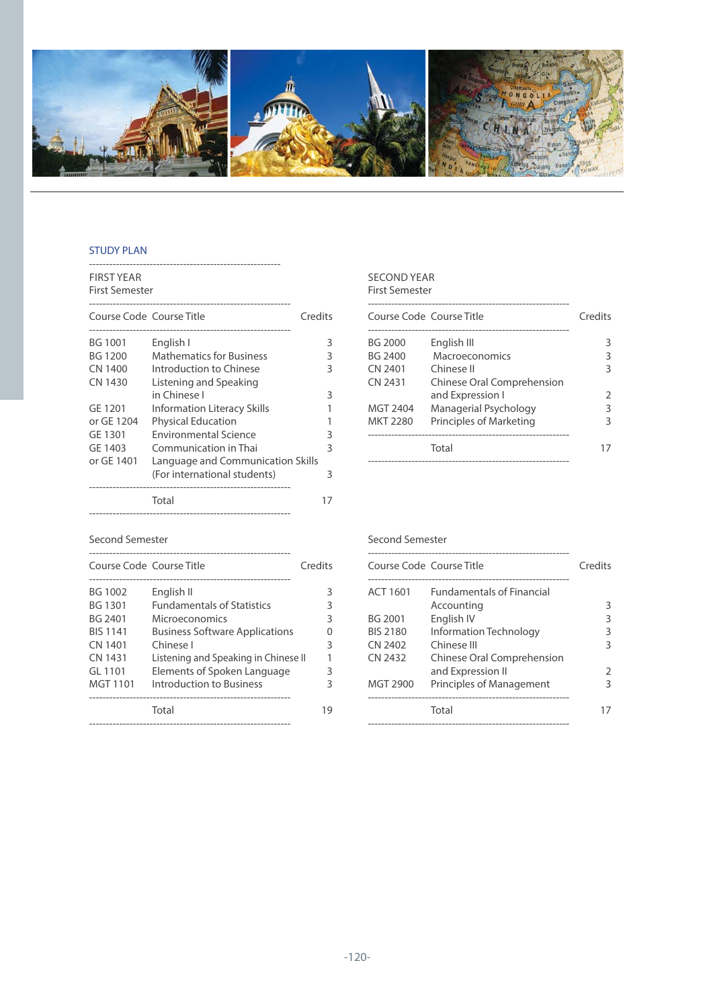

# STUDY PLAN

| <b>FIRST YEAR</b><br><b>First Semester</b> |                                   |    |
|--------------------------------------------|-----------------------------------|----|
| Course Code Course Title                   | Credits                           |    |
| <b>BG 1001</b>                             | English I                         | 3  |
| <b>BG 1200</b>                             | <b>Mathematics for Business</b>   | 3  |
| CN 1400                                    | Introduction to Chinese           | 3  |
| CN 1430                                    | Listening and Speaking            |    |
|                                            | in Chinese I                      | 3  |
| GE 1201                                    | Information Literacy Skills       |    |
| or GE 1204                                 | <b>Physical Education</b>         |    |
| GE 1301                                    | <b>Environmental Science</b>      | 3  |
| GE 1403                                    | Communication in Thai             | 3  |
| or GE 1401                                 | Language and Communication Skills |    |
|                                            | (For international students)      | 3  |
|                                            | Total                             | 17 |
|                                            |                                   |    |

### SECOND YEAR First Semester

| Course Code Course Title |                            | Credits       |
|--------------------------|----------------------------|---------------|
|                          |                            |               |
| BG 2000                  | English III                | 3             |
| BG 2400                  | Macroeconomics             | 3             |
| CN 2401                  | Chinese II                 | 3             |
| CN 2431                  | Chinese Oral Comprehension |               |
|                          | and Expression I           | $\mathcal{P}$ |
| MGT 2404                 | Managerial Psychology      | 3             |
| <b>MKT 2280</b>          | Principles of Marketing    | 3             |
|                          |                            |               |
|                          | Total                      |               |
|                          |                            |               |

# Second Semester

| Course Code Course Title |                                       | Credits |
|--------------------------|---------------------------------------|---------|
| BG 1002                  | English II                            | 3       |
| BG 1301                  | <b>Fundamentals of Statistics</b>     | 3       |
| BG 2401                  | Microeconomics                        | 3       |
| <b>BIS 1141</b>          | <b>Business Software Applications</b> | U       |
| CN 1401                  | Chinese I                             | 3       |
| CN 1431                  | Listening and Speaking in Chinese II  |         |
| GL 1101                  | Elements of Spoken Language           | 3       |
| MGT 1101                 | Introduction to Business              | 3       |
|                          |                                       |         |
|                          | Total                                 | 19      |
|                          |                                       |         |

### Second Semester

| Course Code Course Title |                                  | Credits       |
|--------------------------|----------------------------------|---------------|
| ACT 1601                 | <b>Fundamentals of Financial</b> |               |
|                          | Accounting                       | 3             |
| BG 2001                  | English IV                       | ς             |
| <b>BIS 2180</b>          | Information Technology           | 3             |
| CN 2402                  | Chinese III                      | 3             |
| CN 2432                  | Chinese Oral Comprehension       |               |
|                          | and Expression II                | $\mathcal{P}$ |
| MGT 2900                 | Principles of Management         | 3             |
|                          |                                  |               |
|                          | Total                            |               |
|                          |                                  |               |